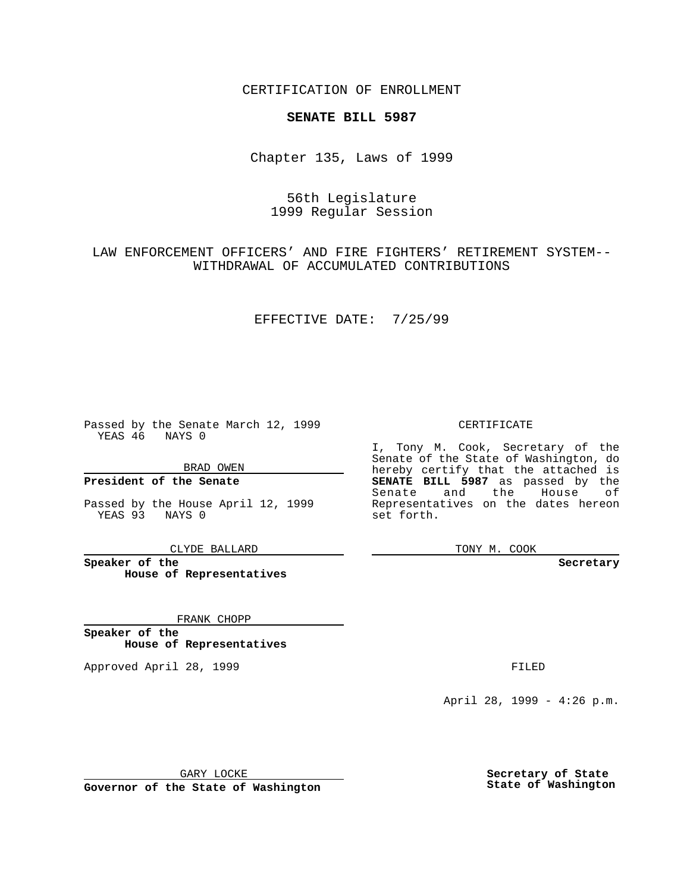CERTIFICATION OF ENROLLMENT

### **SENATE BILL 5987**

Chapter 135, Laws of 1999

## 56th Legislature 1999 Regular Session

LAW ENFORCEMENT OFFICERS' AND FIRE FIGHTERS' RETIREMENT SYSTEM-- WITHDRAWAL OF ACCUMULATED CONTRIBUTIONS

#### EFFECTIVE DATE: 7/25/99

Passed by the Senate March 12, 1999 YEAS 46 NAYS 0

BRAD OWEN

**President of the Senate**

Passed by the House April 12, 1999 YEAS 93 NAYS 0

CLYDE BALLARD

**Speaker of the House of Representatives**

FRANK CHOPP

**Speaker of the House of Representatives**

Approved April 28, 1999 **FILED** 

#### CERTIFICATE

I, Tony M. Cook, Secretary of the Senate of the State of Washington, do hereby certify that the attached is **SENATE BILL 5987** as passed by the Senate and the House of Representatives on the dates hereon set forth.

TONY M. COOK

**Secretary**

April 28, 1999 - 4:26 p.m.

GARY LOCKE

**Governor of the State of Washington**

**Secretary of State State of Washington**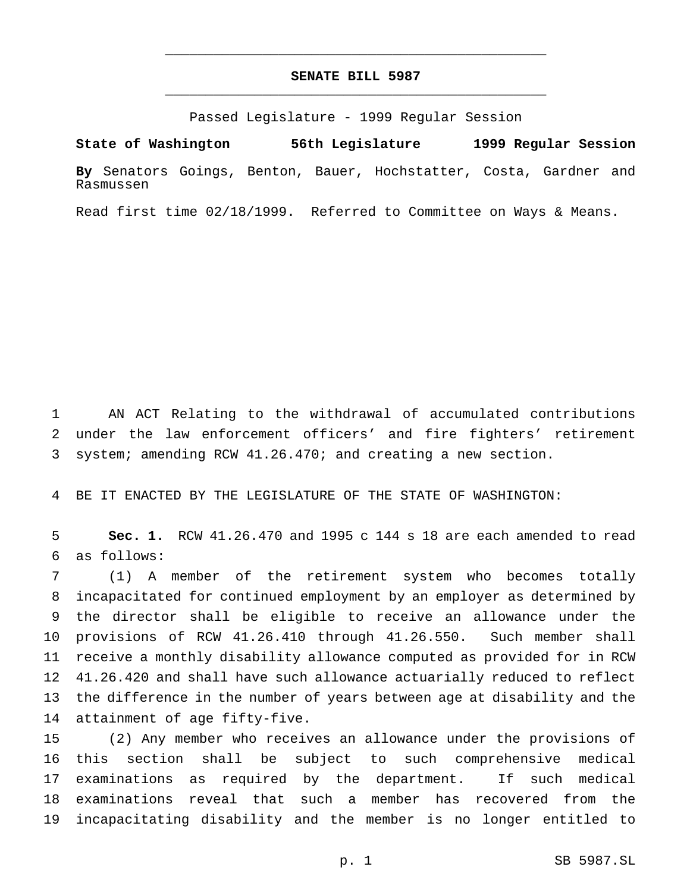# **SENATE BILL 5987** \_\_\_\_\_\_\_\_\_\_\_\_\_\_\_\_\_\_\_\_\_\_\_\_\_\_\_\_\_\_\_\_\_\_\_\_\_\_\_\_\_\_\_\_\_\_\_

\_\_\_\_\_\_\_\_\_\_\_\_\_\_\_\_\_\_\_\_\_\_\_\_\_\_\_\_\_\_\_\_\_\_\_\_\_\_\_\_\_\_\_\_\_\_\_

Passed Legislature - 1999 Regular Session

**State of Washington 56th Legislature 1999 Regular Session**

**By** Senators Goings, Benton, Bauer, Hochstatter, Costa, Gardner and Rasmussen

Read first time 02/18/1999. Referred to Committee on Ways & Means.

 AN ACT Relating to the withdrawal of accumulated contributions under the law enforcement officers' and fire fighters' retirement system; amending RCW 41.26.470; and creating a new section.

BE IT ENACTED BY THE LEGISLATURE OF THE STATE OF WASHINGTON:

 **Sec. 1.** RCW 41.26.470 and 1995 c 144 s 18 are each amended to read as follows:

 (1) A member of the retirement system who becomes totally incapacitated for continued employment by an employer as determined by the director shall be eligible to receive an allowance under the provisions of RCW 41.26.410 through 41.26.550. Such member shall receive a monthly disability allowance computed as provided for in RCW 41.26.420 and shall have such allowance actuarially reduced to reflect the difference in the number of years between age at disability and the attainment of age fifty-five.

 (2) Any member who receives an allowance under the provisions of this section shall be subject to such comprehensive medical examinations as required by the department. If such medical examinations reveal that such a member has recovered from the incapacitating disability and the member is no longer entitled to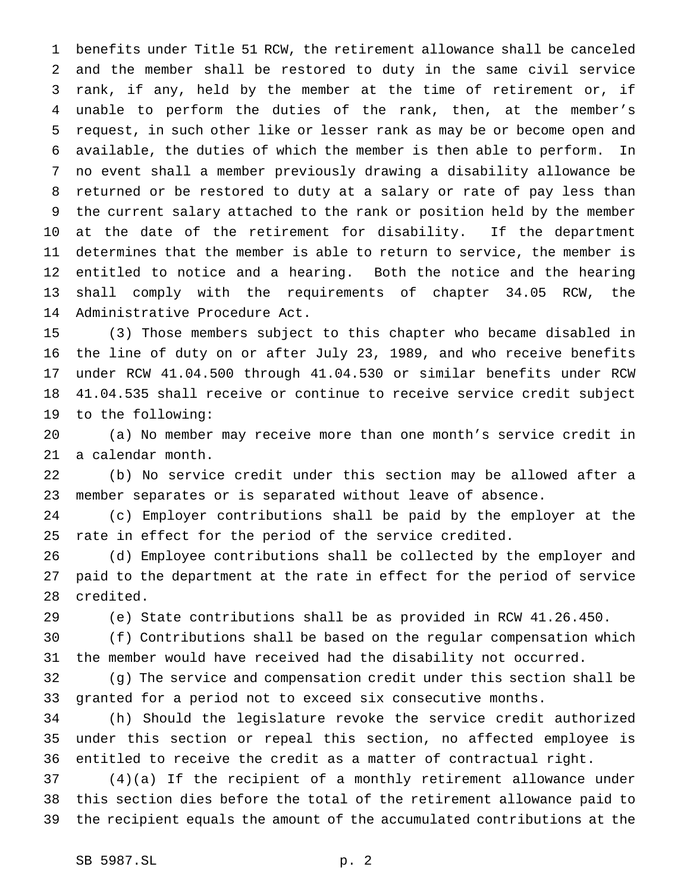benefits under Title 51 RCW, the retirement allowance shall be canceled and the member shall be restored to duty in the same civil service rank, if any, held by the member at the time of retirement or, if unable to perform the duties of the rank, then, at the member's request, in such other like or lesser rank as may be or become open and available, the duties of which the member is then able to perform. In no event shall a member previously drawing a disability allowance be returned or be restored to duty at a salary or rate of pay less than the current salary attached to the rank or position held by the member at the date of the retirement for disability. If the department determines that the member is able to return to service, the member is entitled to notice and a hearing. Both the notice and the hearing shall comply with the requirements of chapter 34.05 RCW, the Administrative Procedure Act.

 (3) Those members subject to this chapter who became disabled in the line of duty on or after July 23, 1989, and who receive benefits under RCW 41.04.500 through 41.04.530 or similar benefits under RCW 41.04.535 shall receive or continue to receive service credit subject to the following:

 (a) No member may receive more than one month's service credit in a calendar month.

 (b) No service credit under this section may be allowed after a member separates or is separated without leave of absence.

 (c) Employer contributions shall be paid by the employer at the rate in effect for the period of the service credited.

 (d) Employee contributions shall be collected by the employer and paid to the department at the rate in effect for the period of service credited.

(e) State contributions shall be as provided in RCW 41.26.450.

 (f) Contributions shall be based on the regular compensation which the member would have received had the disability not occurred.

 (g) The service and compensation credit under this section shall be granted for a period not to exceed six consecutive months.

 (h) Should the legislature revoke the service credit authorized under this section or repeal this section, no affected employee is entitled to receive the credit as a matter of contractual right.

 (4)(a) If the recipient of a monthly retirement allowance under this section dies before the total of the retirement allowance paid to the recipient equals the amount of the accumulated contributions at the